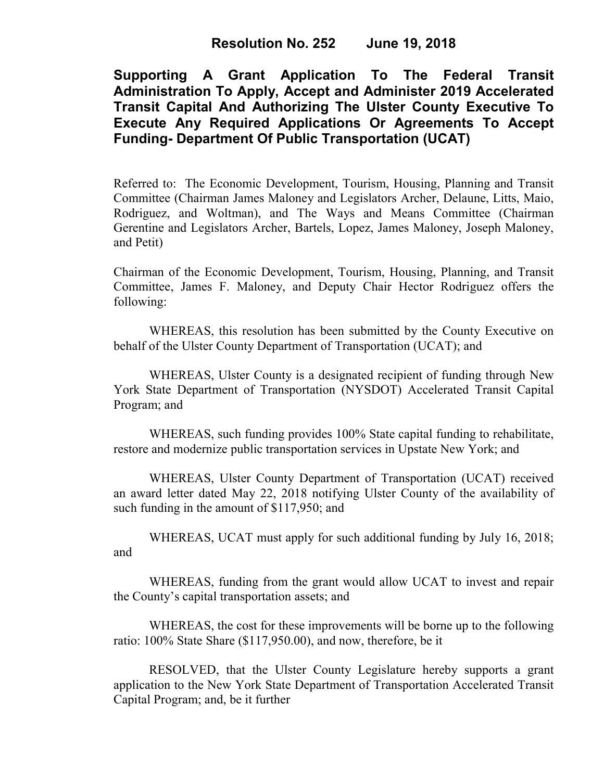**Supporting A Grant Application To The Federal Transit Administration To Apply, Accept and Administer 2019 Accelerated Transit Capital And Authorizing The Ulster County Executive To Execute Any Required Applications Or Agreements To Accept Funding- Department Of Public Transportation (UCAT)**

Referred to: The Economic Development, Tourism, Housing, Planning and Transit Committee (Chairman James Maloney and Legislators Archer, Delaune, Litts, Maio, Rodriguez, and Woltman), and The Ways and Means Committee (Chairman Gerentine and Legislators Archer, Bartels, Lopez, James Maloney, Joseph Maloney, and Petit)

Chairman of the Economic Development, Tourism, Housing, Planning, and Transit Committee, James F. Maloney, and Deputy Chair Hector Rodriguez offers the following:

WHEREAS, this resolution has been submitted by the County Executive on behalf of the Ulster County Department of Transportation (UCAT); and

WHEREAS, Ulster County is a designated recipient of funding through New York State Department of Transportation (NYSDOT) Accelerated Transit Capital Program; and

WHEREAS, such funding provides 100% State capital funding to rehabilitate, restore and modernize public transportation services in Upstate New York; and

WHEREAS, Ulster County Department of Transportation (UCAT) received an award letter dated May 22, 2018 notifying Ulster County of the availability of such funding in the amount of \$117,950; and

WHEREAS, UCAT must apply for such additional funding by July 16, 2018; and

WHEREAS, funding from the grant would allow UCAT to invest and repair the County's capital transportation assets; and

WHEREAS, the cost for these improvements will be borne up to the following ratio: 100% State Share (\$117,950.00), and now, therefore, be it

RESOLVED, that the Ulster County Legislature hereby supports a grant application to the New York State Department of Transportation Accelerated Transit Capital Program; and, be it further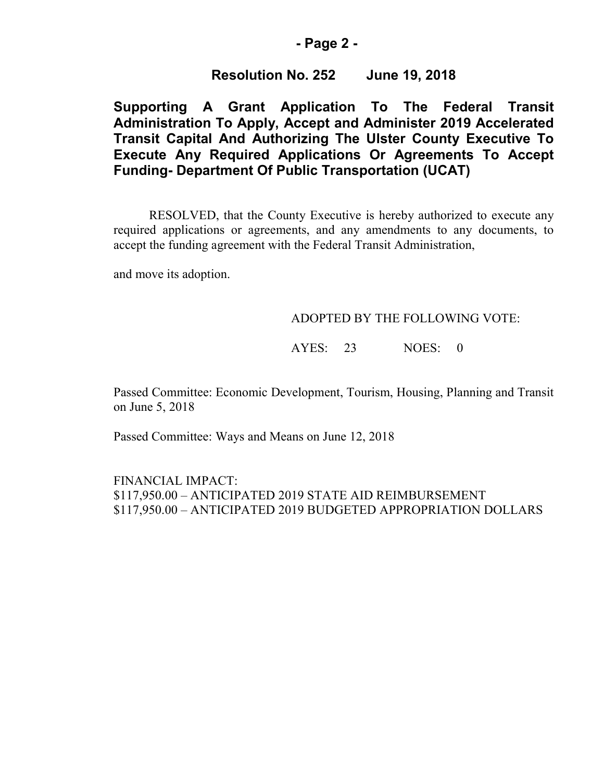## **- Page 2 -**

## **Resolution No. 252 June 19, 2018**

# **Supporting A Grant Application To The Federal Transit Administration To Apply, Accept and Administer 2019 Accelerated Transit Capital And Authorizing The Ulster County Executive To Execute Any Required Applications Or Agreements To Accept Funding- Department Of Public Transportation (UCAT)**

RESOLVED, that the County Executive is hereby authorized to execute any required applications or agreements, and any amendments to any documents, to accept the funding agreement with the Federal Transit Administration,

and move its adoption.

### ADOPTED BY THE FOLLOWING VOTE:

## AYES: 23 NOES: 0

Passed Committee: Economic Development, Tourism, Housing, Planning and Transit on June 5, 2018

Passed Committee: Ways and Means on June 12, 2018

FINANCIAL IMPACT: \$117,950.00 – ANTICIPATED 2019 STATE AID REIMBURSEMENT \$117,950.00 – ANTICIPATED 2019 BUDGETED APPROPRIATION DOLLARS